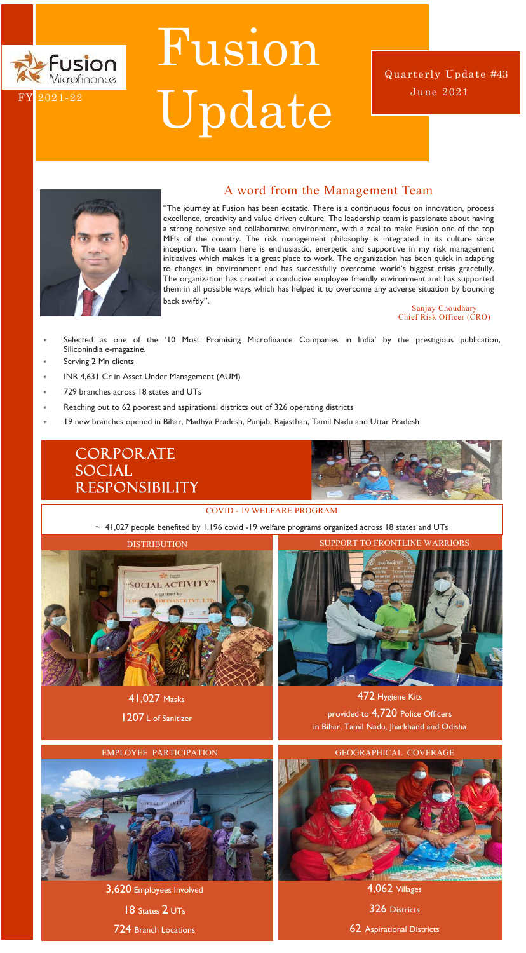## A word from the Management Team

"The journey at Fusion has been ecstatic. There is a continuous focus on innovation, process excellence, creativity and value driven culture. The leadership team is passionate about having a strong cohesive and collaborative environment, with a zeal to make Fusion one of the top MFIs of the country. The risk management philosophy is integrated in its culture since inception. The team here is enthusiastic, energetic and supportive in my risk management initiatives which makes it a great place to work. The organization has been quick in adapting to changes in environment and has successfully overcome world's biggest crisis gracefully. The organization has created a conducive employee friendly environment and has supported them in all possible ways which has helped it to overcome any adverse situation by bouncing back swiftly".



# Fusion Fusion **Tubluir**<br><sup>Microfinance</sup> Update

- Selected as one of the '10 Most Promising Microfinance Companies in India' by the prestigious publication, Siliconindia e-magazine.
- Serving 2 Mn clients
- INR 4,631 Cr in Asset Under Management (AUM)
- 729 branches across 18 states and UTs
- Reaching out to 62 poorest and aspirational districts out of 326 operating districts
- 19 new branches opened in Bihar, Madhya Pradesh, Punjab, Rajasthan, Tamil Nadu and Uttar Pradesh

# **CORPORATE** Social **RESPONSIBILITY**



Sanjay Choudhary Chief Risk Officer (CRO)

41,027 Masks

1207 L of Sanitizer

#### COVID - 19 WELFARE PROGRAM

~ 41,027 people benefited by 1,196 covid -19 welfare programs organized across 18 states and UTs





June 2021 Quarterly Update #43



#### EMPLOYEE PARTICIPATION GEOGRAPHICAL COVERAGE



4,062 Villages

326 Districts

62 Aspirational Districts

3,620 Employees Involved

18 States 2 UTs

724 Branch Locations

472 Hygiene Kits provided to 4,720 Police Officers in Bihar, Tamil Nadu, Jharkhand and Odisha